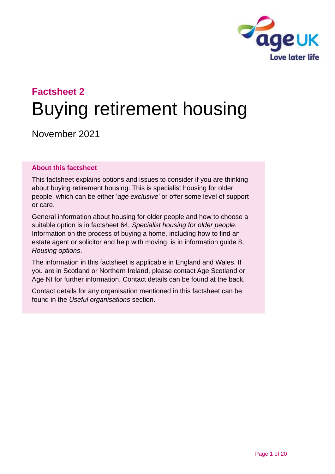

# **Factsheet 2** Buying retirement housing

November 2021

#### **About this factsheet**

This factsheet explains options and issues to consider if you are thinking about buying retirement housing. This is specialist housing for older people, which can be either '*age exclusive*' or offer some level of support or care.

General information about housing for older people and how to choose a suitable option is in factsheet 64, *[Specialist housing for older people](https://www.ageuk.org.uk/globalassets/age-uk/documents/factsheets/fs64_specialist_housing_for_older_people_fcs.pdf)*. Information on the process of buying a home, including how to find an estate agent or solicitor and help with moving, is in information guide 8, *[Housing options](https://www.ageuk.org.uk/globalassets/age-uk/documents/information-guides/ageukig08_housing_options_inf.pdf)*.

The information in this factsheet is applicable in England and Wales. If you are in Scotland or Northern Ireland, please contact [Age Scotland](#page-18-0) or [Age NI fo](#page-18-1)r further information. Contact details can be found at the back.

Contact details for any organisation mentioned in this factsheet can be found in the *[Useful organisations](#page-15-0)* section.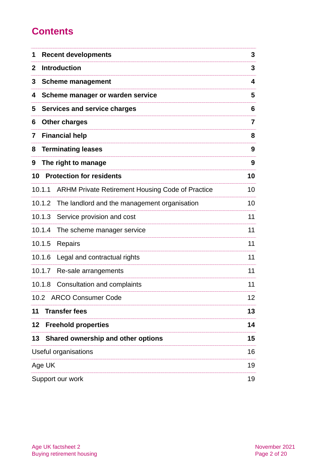# **Contents**

| <b>Recent developments</b><br>1                                   | 3  |
|-------------------------------------------------------------------|----|
| <b>Introduction</b><br>2                                          | 3  |
| 3<br><b>Scheme management</b>                                     | 4  |
| Scheme manager or warden service<br>4                             | 5  |
| <b>Services and service charges</b><br>5                          | 6  |
| <b>Other charges</b><br>6                                         | 7  |
| <b>Financial help</b><br>7                                        | 8  |
| <b>Terminating leases</b><br>8                                    | 9  |
| The right to manage<br>9                                          | 9  |
| <b>Protection for residents</b><br>10                             | 10 |
| 10.1.1<br><b>ARHM Private Retirement Housing Code of Practice</b> | 10 |
| 10.1.2<br>The landlord and the management organisation            | 10 |
| 10.1.3<br>Service provision and cost                              | 11 |
| 10.1.4<br>The scheme manager service                              | 11 |
| 10.1.5<br>Repairs                                                 | 11 |
| 10.1.6<br>Legal and contractual rights                            | 11 |
| 10.1.7<br>Re-sale arrangements                                    | 11 |
| 10.1.8 Consultation and complaints                                | 11 |
| 10.2 ARCO Consumer Code                                           | 12 |
| <b>Transfer fees</b><br>11                                        | 13 |
| 12<br><b>Freehold properties</b>                                  | 14 |
| 13<br>Shared ownership and other options                          | 15 |
| Useful organisations                                              | 16 |
| Age UK                                                            | 19 |
| Support our work                                                  | 19 |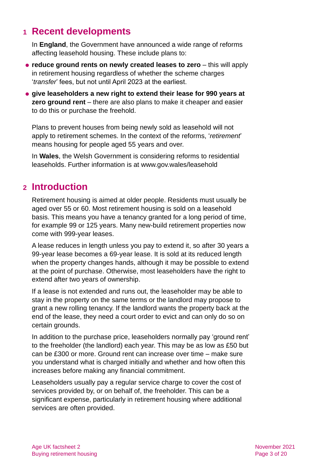### <span id="page-2-0"></span>**1 Recent developments**

In **England**, the Government have announced a wide range of reforms affecting leasehold housing. These include plans to:

- ⚫ **reduce ground rents on newly created leases to zero** this will apply in retirement housing regardless of whether the scheme charges '*transfer*' fees, but not until April 2023 at the earliest.
- ⚫ **give leaseholders a new right to extend their lease for 990 years at zero ground rent** – there are also plans to make it cheaper and easier to do this or purchase the freehold.

Plans to prevent houses from being newly sold as leasehold will not apply to retirement schemes. In the context of the reforms, '*retirement*' means housing for people aged 55 years and over.

In **Wales**, the Welsh Government is considering reforms to residential leaseholds. Further information is at [www.gov.wales/leasehold](http://www.gov.wales/leasehold)

# <span id="page-2-1"></span>**2 Introduction**

Retirement housing is aimed at older people. Residents must usually be aged over 55 or 60. Most retirement housing is sold on a leasehold basis. This means you have a tenancy granted for a long period of time, for example 99 or 125 years. Many new-build retirement properties now come with 999-year leases.

A lease reduces in length unless you pay to extend it, so after 30 years a 99-year lease becomes a 69-year lease. It is sold at its reduced length when the property changes hands, although it may be possible to extend at the point of purchase. Otherwise, most leaseholders have the right to extend after two years of ownership.

If a lease is not extended and runs out, the leaseholder may be able to stay in the property on the same terms or the landlord may propose to grant a new rolling tenancy. If the landlord wants the property back at the end of the lease, they need a court order to evict and can only do so on certain grounds.

In addition to the purchase price, leaseholders normally pay 'ground rent' to the freeholder (the landlord) each year. This may be as low as £50 but can be £300 or more. Ground rent can increase over time – make sure you understand what is charged initially and whether and how often this increases before making any financial commitment.

Leaseholders usually pay a regular service charge to cover the cost of services provided by, or on behalf of, the freeholder. This can be a significant expense, particularly in retirement housing where additional services are often provided.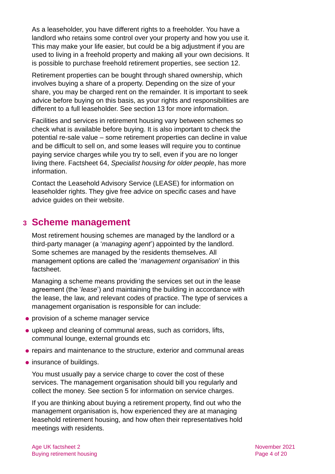As a leaseholder, you have different rights to a freeholder. You have a landlord who retains some control over your property and how you use it. This may make your life easier, but could be a big adjustment if you are used to living in a freehold property and making all your own decisions. It is possible to purchase freehold retirement properties, see [section 12.](#page-13-0)

Retirement properties can be bought through shared ownership, which involves buying a share of a property. Depending on the size of your share, you may be charged rent on the remainder. It is important to seek advice before buying on this basis, as your rights and responsibilities are different to a full leaseholder. [See section 13](#page-14-0) for more information.

Facilities and services in retirement housing vary between schemes so check what is available before buying. It is also important to check the potential re-sale value – some retirement properties can decline in value and be difficult to sell on, and some leases will require you to continue paying service charges while you try to sell, even if you are no longer living there. Factsheet 64, *[Specialist housing for older people](https://www.ageuk.org.uk/globalassets/age-uk/documents/factsheets/fs64_specialist_housing_for_older_people_fcs.pdf)*, has more information.

Contact the [Leasehold Advisory Service \(LEASE\)](http://www.lease-advice.org/) for information on leaseholder rights. They give free advice on specific cases and have advice guides on their website.

### <span id="page-3-0"></span>**3 Scheme management**

Most retirement housing schemes are managed by the landlord or a third-party manager (a '*managing agent*') appointed by the landlord. Some schemes are managed by the residents themselves. All management options are called the '*management organisation*' in this factsheet.

Managing a scheme means providing the services set out in the lease agreement (the '*lease*') and maintaining the building in accordance with the lease, the law, and relevant codes of practice. The type of services a management organisation is responsible for can include:

- ⚫ provision of a scheme manager service
- ⚫ upkeep and cleaning of communal areas, such as corridors, lifts, communal lounge, external grounds etc
- ⚫ repairs and maintenance to the structure, exterior and communal areas
- insurance of buildings.

You must usually pay a service charge to cover the cost of these services. The management organisation should bill you regularly and collect the money. See [section 5](#page-5-0) for information on service charges.

If you are thinking about buying a retirement property, find out who the management organisation is, how experienced they are at managing leasehold retirement housing, and how often their representatives hold meetings with residents.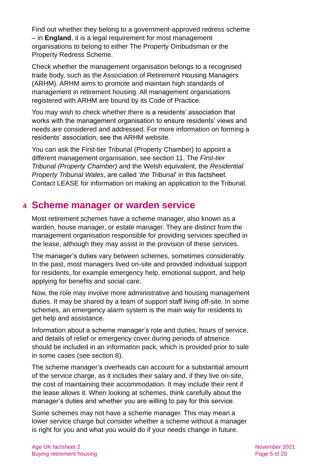Find out whether they belong to a government-approved redress scheme – in **England**, it is a legal requirement for most management organisations to belong to either The Property Ombudsman or the Property Redress Scheme.

Check whether the management organisation belongs to a recognised trade body, such as [the Association of Retirement Housing Managers](#page-15-0)  [\(ARHM\).](#page-15-0) ARHM aims to promote and maintain high standards of management in retirement housing. All management organisations registered with ARHM are bound by its Code of Practice.

You may wish to check whether there is a residents' association that works with the management organisation to ensure residents' views and needs are considered and addressed. For more information on forming a residents' association, see the [ARHM website.](#page-15-0)

You can ask the First-tier Tribunal (Property Chamber) to appoint a different management organisation, see [section 11.](#page-12-0) The *First-tier Tribunal (Property Chamber)* and the Welsh equivalent, the *Residential Property Tribunal Wales*, are called '*the Tribunal*' in this factsheet. [Contact LEASE](http://www.lease-advice.org/) for information on making an application to the Tribunal.

## <span id="page-4-0"></span>**4 Scheme manager or warden service**

Most retirement schemes have a scheme manager, also known as a warden, house manager, or estate manager. They are distinct from the management organisation responsible for providing services specified in the lease, although they may assist in the provision of these services.

The manager's duties vary between schemes, sometimes considerably. In the past, most managers lived on-site and provided individual support for residents, for example emergency help, emotional support, and help applying for benefits and social care.

Now, the role may involve more administrative and housing management duties. It may be shared by a team of support staff living off-site. In some schemes, an emergency alarm system is the main way for residents to get help and assistance.

Information about a scheme manager's role and duties, hours of service, and details of relief or emergency cover during periods of absence should be included in an information pack, which is provided prior to sale in some cases (see [section 8\)](#page-8-0).

The scheme manager's overheads can account for a substantial amount of the service charge, as it includes their salary and, if they live on-site, the cost of maintaining their accommodation. It may include their rent if the lease allows it. When looking at schemes, think carefully about the manager's duties and whether you are willing to pay for this service.

Some schemes may not have a scheme manager. This may mean a lower service charge but consider whether a scheme without a manager is right for you and what you would do if your needs change in future.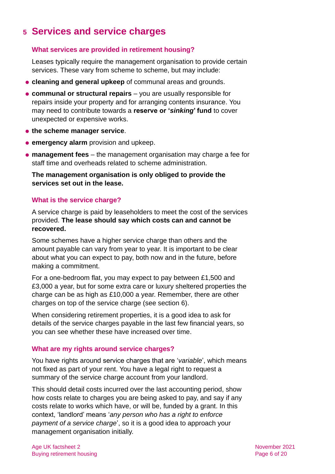# <span id="page-5-0"></span>**5 Services and service charges**

#### **What services are provided in retirement housing?**

Leases typically require the management organisation to provide certain services. These vary from scheme to scheme, but may include:

- ⚫ **cleaning and general upkeep** of communal areas and grounds.
- ⚫ **communal or structural repairs**  you are usually responsible for repairs inside your property and for arranging contents insurance. You may need to contribute towards a **reserve or '***sinking***' fund** to cover unexpected or expensive works.
- ⚫ **the scheme manager service**.
- ⚫ **emergency alarm** provision and upkeep.
- ⚫ **management fees** the management organisation may charge a fee for staff time and overheads related to scheme administration.

**The management organisation is only obliged to provide the services set out in the lease.**

#### **What is the service charge?**

A service charge is paid by leaseholders to meet the cost of the services provided. **The lease should say which costs can and cannot be recovered.**

Some schemes have a higher service charge than others and the amount payable can vary from year to year. It is important to be clear about what you can expect to pay, both now and in the future, before making a commitment.

For a one-bedroom flat, you may expect to pay between £1,500 and £3,000 a year, but for some extra care or luxury sheltered properties the charge can be as high as £10,000 a year. Remember, there are other charges on top of the service charge (see [section 6\)](#page-6-0).

When considering retirement properties, it is a good idea to ask for details of the service charges payable in the last few financial years, so you can see whether these have increased over time.

#### **What are my rights around service charges?**

You have rights around service charges that are '*variable*', which means not fixed as part of your rent. You have a legal right to request a summary of the service charge account from your landlord.

This should detail costs incurred over the last accounting period, show how costs relate to charges you are being asked to pay, and say if any costs relate to works which have, or will be, funded by a grant. In this context, 'landlord' means '*any person who has a right to enforce payment of a service charge*', so it is a good idea to approach your management organisation initially.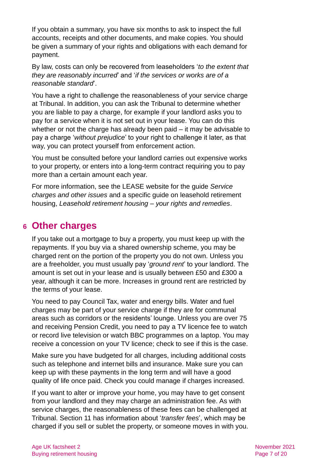If you obtain a summary, you have six months to ask to inspect the full accounts, receipts and other documents, and make copies. You should be given a summary of your rights and obligations with each demand for payment.

By law, costs can only be recovered from leaseholders '*to the extent that they are reasonably incurred*' and '*if the services or works are of a reasonable standard*'.

You have a right to challenge the reasonableness of your service charge at Tribunal. In addition, you can ask the Tribunal to determine whether you are liable to pay a charge, for example if your landlord asks you to pay for a service when it is not set out in your lease. You can do this whether or not the charge has already been paid – it may be advisable to pay a charge '*without prejudice*' to your right to challenge it later, as that way, you can protect yourself from enforcement action.

You must be consulted before your landlord carries out expensive works to your property, or enters into a long-term contract requiring you to pay more than a certain amount each year.

For more information, see the [LEASE](http://www.lease-advice.org/) website for the guide *[Service](https://www.lease-advice.org/advice-guide/service-charges-other-issues/)  [charges and other issues](https://www.lease-advice.org/advice-guide/service-charges-other-issues/)* and a specific guide on leasehold retirement housing, *[Leasehold retirement housing –](https://www.lease-advice.org/advice-guide/leasehold-retirement-housing/) your rights and remedies*.

### <span id="page-6-0"></span>**6 Other charges**

If you take out a mortgage to buy a property, you must keep up with the repayments. If you buy via a shared ownership scheme, you may be charged rent on the portion of the property you do not own. Unless you are a freeholder, you must usually pay '*ground rent*' to your landlord. The amount is set out in your lease and is usually between £50 and £300 a year, although it can be more. Increases in ground rent are restricted by the terms of your lease.

You need to pay Council Tax, water and energy bills. Water and fuel charges may be part of your service charge if they are for communal areas such as corridors or the residents' lounge. Unless you are over 75 and receiving Pension Credit, you need to pay a TV licence fee to watch or record live television or watch BBC programmes on a laptop. You may receive a concession on your TV licence; check to see if this is the case.

Make sure you have budgeted for all charges, including additional costs such as telephone and internet bills and insurance. Make sure you can keep up with these payments in the long term and will have a good quality of life once paid. Check you could manage if charges increased.

If you want to alter or improve your home, you may have to get consent from your landlord and they may charge an administration fee. As with service charges, the reasonableness of these fees can be challenged at Tribunal. [Section 11](#page-12-0) has information about '*transfer fees*', which may be charged if you sell or sublet the property, or someone moves in with you.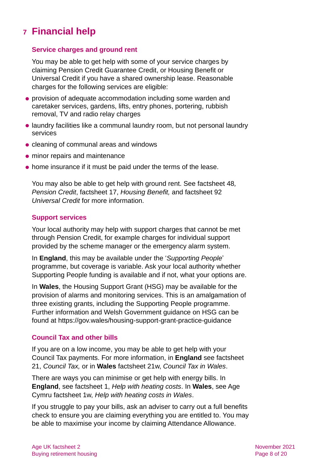# <span id="page-7-0"></span>**7 Financial help**

#### **Service charges and ground rent**

You may be able to get help with some of your service charges by claiming Pension Credit Guarantee Credit, or Housing Benefit or Universal Credit if you have a shared ownership lease. Reasonable charges for the following services are eligible:

- ⚫ provision of adequate accommodation including some warden and caretaker services, gardens, lifts, entry phones, portering, rubbish removal, TV and radio relay charges
- ⚫ laundry facilities like a communal laundry room, but not personal laundry services
- ⚫ cleaning of communal areas and windows
- ⚫ minor repairs and maintenance
- ⚫ home insurance if it must be paid under the terms of the lease.

You may also be able to get help with ground rent. See factsheet 48*, [Pension Credit](https://www.ageuk.org.uk/globalassets/age-uk/documents/factsheets/fs48_pension_credit_fcs.pdf)*, factsheet 17, *[Housing Benefit,](https://www.ageuk.org.uk/globalassets/age-uk/documents/factsheets/fs17_housing_benefit_fcs.pdf)* and factsheet 92 *[Universal Credit](https://www.ageuk.org.uk/globalassets/age-uk/documents/factsheets/fs92_universal_credit_fcs.pdf)* for more information.

#### **Support services**

Your local authority may help with support charges that cannot be met through Pension Credit, for example charges for individual support provided by the scheme manager or the emergency alarm system.

In **England**, this may be available under the '*Supporting People*' programme, but coverage is variable. Ask your local authority whether Supporting People funding is available and if not, what your options are.

In **Wales**, the Housing Support Grant (HSG) may be available for the provision of alarms and monitoring services. This is an amalgamation of three existing grants, including the Supporting People programme. Further information and Welsh Government guidance on HSG can be found at<https://gov.wales/housing-support-grant-practice-guidance>

#### **Council Tax and other bills**

If you are on a low income, you may be able to get help with your Council Tax payments. For more information, in **England** see factsheet 21, *[Council](https://www.ageuk.org.uk/globalassets/age-uk/documents/factsheets/fs21_council_tax_fcs.pdf) Tax,* or in **Wales** factsheet 21w, *[Council Tax in Wales](https://www.ageuk.org.uk/globalassets/age-cymru/documents/information-guides-and-factsheets/fs21w.pdf)*.

There are ways you can minimise or get help with energy bills. In **England**, see factsheet 1, *[Help with heating costs](https://www.ageuk.org.uk/globalassets/age-uk/documents/factsheets/fs1_help_with_heating_costs_fcs.pdf)*. In **Wales**, see Age Cymru factsheet 1w, *[Help with heating costs in Wales](https://www.ageuk.org.uk/globalassets/age-cymru/documents/information-guides-and-factsheets/fs1w.pdf)*.

If you struggle to pay your bills, ask an adviser to carry out a full benefits check to ensure you are claiming everything you are entitled to. You may be able to maximise your income by claiming Attendance Allowance.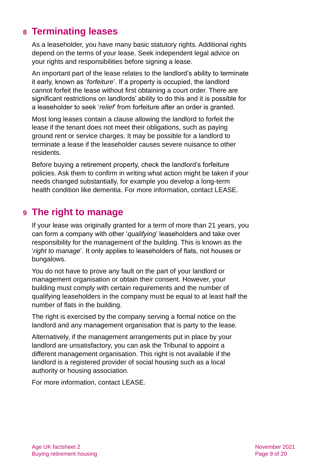# <span id="page-8-0"></span>**8 Terminating leases**

As a leaseholder, you have many basic statutory rights. Additional rights depend on the terms of your lease. Seek independent legal advice on your rights and responsibilities before signing a lease.

An important part of the lease relates to the landlord's ability to terminate it early, known as '*forfeiture*'. If a property is occupied, the landlord cannot forfeit the lease without first obtaining a court order. There are significant restrictions on landlords' ability to do this and it is possible for a leaseholder to seek '*relief*' from forfeiture after an order is granted.

Most long leases contain a clause allowing the landlord to forfeit the lease if the tenant does not meet their obligations, such as paying ground rent or service charges. It may be possible for a landlord to terminate a lease if the leaseholder causes severe nuisance to other residents.

Before buying a retirement property, check the landlord's forfeiture policies. Ask them to confirm in writing what action might be taken if your needs changed substantially, for example you develop a long-term health condition like dementia. For more information, contact [LEASE.](http://www.lease-advice.org/)

### <span id="page-8-1"></span>**9 The right to manage**

If your lease was originally granted for a term of more than 21 years, you can form a company with other '*qualifying*' leaseholders and take over responsibility for the management of the building. This is known as the '*right to manage*'. It only applies to leaseholders of flats, not houses or bungalows.

You do not have to prove any fault on the part of your landlord or management organisation or obtain their consent. However, your building must comply with certain requirements and the number of qualifying leaseholders in the company must be equal to at least half the number of flats in the building.

The right is exercised by the company serving a formal notice on the landlord and any management organisation that is party to the lease.

Alternatively, if the management arrangements put in place by your landlord are unsatisfactory, you can ask the Tribunal to appoint a different management organisation. This right is not available if the landlord is a registered provider of social housing such as a local authority or housing association.

For more information, contact [LEASE.](http://www.lease-advice.org/)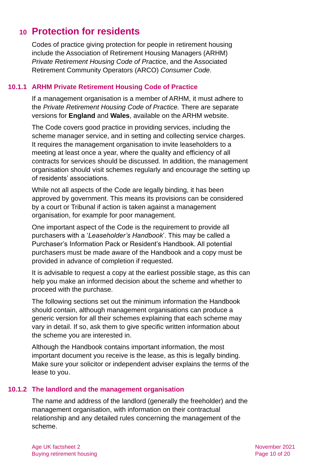### <span id="page-9-0"></span>**10 Protection for residents**

Codes of practice giving protection for people in retirement housing include the Association of Retirement Housing Managers (ARHM) *[Private Retirement Housing Code of Practic](https://www.arhm.org/publication-category/code-of-practice/)*e, and the Associated Retirement Community Operators (ARCO) *[Consumer Code](https://www.arcouk.org/arco-consumer-code)*.

#### **10.1.1 ARHM Private Retirement Housing Code of Practice**

If a management organisation is a member of ARHM, it must adhere to the *[Private Retirement Housing Code of Practice](https://www.arhm.org/publication-category/code-of-practice/).* There are separate versions for **England** and **Wales**, available on th[e ARHM website.](#page-15-0)

The Code covers good practice in providing services, including the scheme manager service, and in setting and collecting service charges. It requires the management organisation to invite leaseholders to a meeting at least once a year, where the quality and efficiency of all contracts for services should be discussed. In addition, the management organisation should visit schemes regularly and encourage the setting up of residents' associations.

While not all aspects of the Code are legally binding, it has been approved by government. This means its provisions can be considered by a court or Tribunal if action is taken against a management organisation, for example for poor management.

One important aspect of the Code is the requirement to provide all purchasers with a '*Leaseholder's Handbook*'. This may be called a Purchaser's Information Pack or Resident's Handbook. All potential purchasers must be made aware of the Handbook and a copy must be provided in advance of completion if requested.

It is advisable to request a copy at the earliest possible stage, as this can help you make an informed decision about the scheme and whether to proceed with the purchase.

The following sections set out the minimum information the Handbook should contain, although management organisations can produce a generic version for all their schemes explaining that each scheme may vary in detail. If so, ask them to give specific written information about the scheme you are interested in.

Although the Handbook contains important information, the most important document you receive is the lease, as this is legally binding. Make sure your solicitor or independent adviser explains the terms of the lease to you.

#### **10.1.2 The landlord and the management organisation**

The name and address of the landlord (generally the freeholder) and the management organisation, with information on their contractual relationship and any detailed rules concerning the management of the scheme.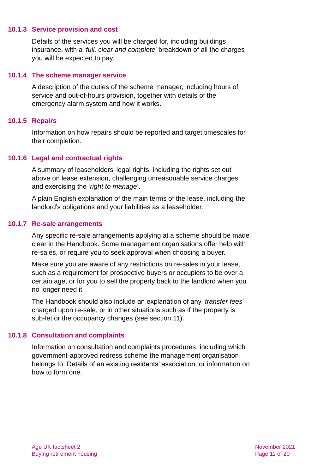#### **10.1.3 Service provision and cost**

Details of the services you will be charged for, including buildings insurance, with a '*full, clear and complete*' breakdown of all the charges you will be expected to pay.

#### **10.1.4 The scheme manager service**

A description of the duties of the scheme manager, including hours of service and out-of-hours provision, together with details of the emergency alarm system and how it works.

#### **10.1.5 Repairs**

Information on how repairs should be reported and target timescales for their completion.

#### **10.1.6 Legal and contractual rights**

A summary of leaseholders' legal rights, including the rights set out above on lease extension, challenging unreasonable service charges, and exercising the '*right to manage*'.

A plain English explanation of the main terms of the lease, including the landlord's obligations and your liabilities as a leaseholder.

#### **10.1.7 Re-sale arrangements**

Any specific re-sale arrangements applying at a scheme should be made clear in the Handbook. Some management organisations offer help with re-sales, or require you to seek approval when choosing a buyer.

Make sure you are aware of any restrictions on re-sales in your lease, such as a requirement for prospective buyers or occupiers to be over a certain age, or for you to sell the property back to the landlord when you no longer need it.

The Handbook should also include an explanation of any '*transfer fees*' charged upon re-sale, or in other situations such as if the property is sub-let or the occupancy changes (see [section](#page-12-0) 11).

#### **10.1.8 Consultation and complaints**

Information on consultation and complaints procedures, including which government-approved redress scheme the management organisation belongs to. Details of an existing residents' association, or information on how to form one.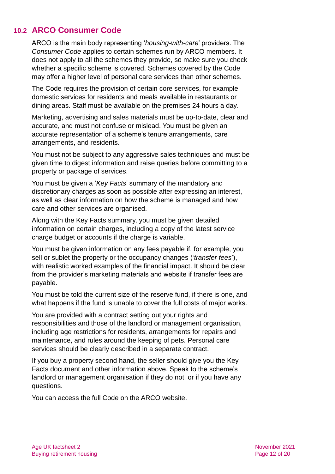### **10.2 ARCO Consumer Code**

ARCO is the main body representing '*housing-with-care*' providers. The *[Consumer Code](https://www.arcouk.org/arco-consumer-code)* applies to certain schemes run by ARCO members. It does not apply to all the schemes they provide, so make sure you check whether a specific scheme is covered. Schemes covered by the Code may offer a higher level of personal care services than other schemes.

The Code requires the provision of certain core services, for example domestic services for residents and meals available in restaurants or dining areas. Staff must be available on the premises 24 hours a day.

Marketing, advertising and sales materials must be up-to-date, clear and accurate, and must not confuse or mislead. You must be given an accurate representation of a scheme's tenure arrangements, care arrangements, and residents.

You must not be subject to any aggressive sales techniques and must be given time to digest information and raise queries before committing to a property or package of services.

You must be given a '*Key Facts*' summary of the mandatory and discretionary charges as soon as possible after expressing an interest, as well as clear information on how the scheme is managed and how care and other services are organised.

Along with the Key Facts summary, you must be given detailed information on certain charges, including a copy of the latest service charge budget or accounts if the charge is variable.

You must be given information on any fees payable if, for example, you sell or sublet the property or the occupancy changes ('*transfer fees*'), with realistic worked examples of the financial impact. It should be clear from the provider's marketing materials and website if transfer fees are payable.

You must be told the current size of the reserve fund, if there is one, and what happens if the fund is unable to cover the full costs of major works.

You are provided with a contract setting out your rights and responsibilities and those of the landlord or management organisation, including age restrictions for residents, arrangements for repairs and maintenance, and rules around the keeping of pets. Personal care services should be clearly described in a separate contract.

If you buy a property second hand, the seller should give you the Key Facts document and other information above. Speak to the scheme's landlord or management organisation if they do not, or if you have any questions.

You can access the full Code on the [ARCO website.](https://www.arcouk.org/)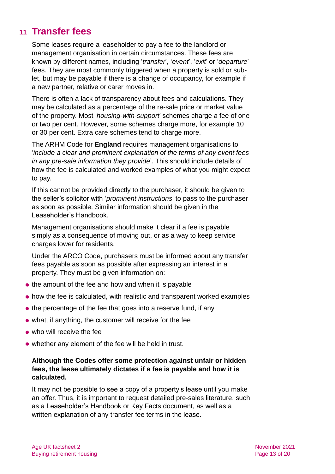# <span id="page-12-0"></span>**11 Transfer fees**

Some leases require a leaseholder to pay a fee to the landlord or management organisation in certain circumstances. These fees are known by different names, including '*transfer*', '*event*', '*exit*' or '*departure*' fees. They are most commonly triggered when a property is sold or sublet, but may be payable if there is a change of occupancy, for example if a new partner, relative or carer moves in.

There is often a lack of transparency about fees and calculations. They may be calculated as a percentage of the re-sale price or market value of the property. Most '*housing-with-support*' schemes charge a fee of one or two per cent. However, some schemes charge more, for example 10 or 30 per cent. Extra care schemes tend to charge more.

The ARHM Code for **England** requires management organisations to '*include a clear and prominent explanation of the terms of any event fees in any pre-sale information they provide*'. This should include details of how the fee is calculated and worked examples of what you might expect to pay.

If this cannot be provided directly to the purchaser, it should be given to the seller's solicitor with '*prominent instructions*' to pass to the purchaser as soon as possible. Similar information should be given in the Leaseholder's Handbook.

Management organisations should make it clear if a fee is payable simply as a consequence of moving out, or as a way to keep service charges lower for residents.

Under the ARCO Code, purchasers must be informed about any transfer fees payable as soon as possible after expressing an interest in a property. They must be given information on:

- the amount of the fee and how and when it is payable
- ⚫ how the fee is calculated, with realistic and transparent worked examples
- the percentage of the fee that goes into a reserve fund, if any
- ⚫ what, if anything, the customer will receive for the fee
- ⚫ who will receive the fee
- ⚫ whether any element of the fee will be held in trust.

#### **Although the Codes offer some protection against unfair or hidden fees, the lease ultimately dictates if a fee is payable and how it is calculated.**

It may not be possible to see a copy of a property's lease until you make an offer. Thus, it is important to request detailed pre-sales literature, such as a Leaseholder's Handbook or Key Facts document, as well as a written explanation of any transfer fee terms in the lease.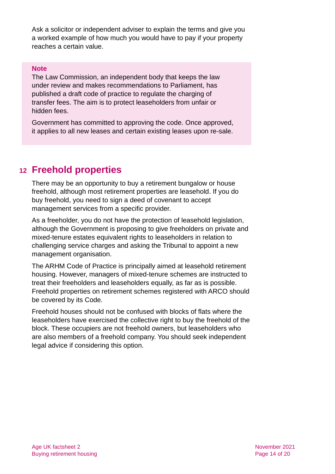Ask a solicitor or independent adviser to explain the terms and give you a worked example of how much you would have to pay if your property reaches a certain value.

#### **Note**

The Law Commission, an independent body that keeps the law under review and makes recommendations to Parliament, has published a draft code of practice to regulate the charging of transfer fees. The aim is to protect leaseholders from unfair or hidden fees.

Government has committed to approving the code. Once approved, it applies to all new leases and certain existing leases upon re-sale.

## <span id="page-13-0"></span>**12 Freehold properties**

There may be an opportunity to buy a retirement bungalow or house freehold, although most retirement properties are leasehold. If you do buy freehold, you need to sign a deed of covenant to accept management services from a specific provider.

As a freeholder, you do not have the protection of leasehold legislation, although the Government is proposing to give freeholders on private and mixed-tenure estates equivalent rights to leaseholders in relation to challenging service charges and asking the Tribunal to appoint a new management organisation.

The ARHM Code of Practice is principally aimed at leasehold retirement housing. However, managers of mixed-tenure schemes are instructed to treat their freeholders and leaseholders equally, as far as is possible. Freehold properties on retirement schemes registered with ARCO should be covered by its Code.

Freehold houses should not be confused with blocks of flats where the leaseholders have exercised the collective right to buy the freehold of the block. These occupiers are not freehold owners, but leaseholders who are also members of a freehold company. You should seek independent legal advice if considering this option.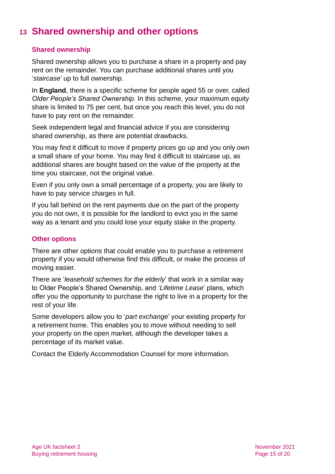# <span id="page-14-0"></span>**13 Shared ownership and other options**

#### **Shared ownership**

Shared ownership allows you to purchase a share in a property and pay rent on the remainder. You can purchase additional shares until you '*staircase*' up to full ownership.

In **England**, there is a specific scheme for people aged 55 or over, called *Older People's Shared Ownership*. In this scheme, your maximum equity share is limited to 75 per cent, but once you reach this level, you do not have to pay rent on the remainder.

Seek independent legal and financial advice if you are considering shared ownership, as there are potential drawbacks.

You may find it difficult to move if property prices go up and you only own a small share of your home. You may find it difficult to staircase up, as additional shares are bought based on the value of the property at the time you staircase, not the original value.

Even if you only own a small percentage of a property, you are likely to have to pay service charges in full.

If you fall behind on the rent payments due on the part of the property you do not own, it is possible for the landlord to evict you in the same way as a tenant and you could lose your equity stake in the property.

#### **Other options**

There are other options that could enable you to purchase a retirement property if you would otherwise find this difficult, or make the process of moving easier.

There are '*leasehold schemes for the elderly*' that work in a similar way to Older People's Shared Ownership, and '*Lifetime Lease*' plans, which offer you the opportunity to purchase the right to live in a property for the rest of your life.

Some developers allow you to '*part exchange*' your existing property for a retirement home. This enables you to move without needing to sell your property on the open market, although the developer takes a percentage of its market value.

Contact the [Elderly Accommodation Counsel](https://housingcare.org/) for more information.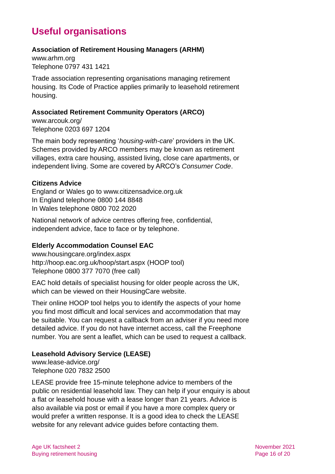# **Useful organisations**

#### <span id="page-15-0"></span>**Association of Retirement Housing Managers (ARHM)**

[www.arhm.org](http://www.arhm.org/) Telephone 0797 431 1421

Trade association representing organisations managing retirement housing. Its Code of Practice applies primarily to leasehold retirement housing.

#### **Associated Retirement Community Operators (ARCO)**

[www.arcouk.org/](http://www.arcouk.org/) Telephone 0203 697 1204

The main body representing '*housing-with-care*' providers in the UK. Schemes provided by ARCO members may be known as retirement villages, extra care housing, assisted living, close care apartments, or independent living. Some are covered by ARCO's *Consumer Code*.

#### **Citizens Advice**

England or Wales go to [www.citizensadvice.org.uk](http://www.citizensadvice.org.uk/) In England telephone 0800 144 8848 In Wales telephone 0800 702 2020

National network of advice centres offering free, confidential, independent advice, face to face or by telephone.

#### **Elderly Accommodation Counsel EAC**

[www.housingcare.org/index.aspx](http://www.housingcare.org/index.aspx) <http://hoop.eac.org.uk/hoop/start.aspx> (HOOP tool) Telephone 0800 377 7070 (free call)

EAC hold details of specialist housing for older people across the UK, which can be viewed on their HousingCare website.

Their online HOOP tool helps you to identify the aspects of your home you find most difficult and local services and accommodation that may be suitable. You can request a callback from an adviser if you need more detailed advice. If you do not have internet access, call the Freephone number. You are sent a leaflet, which can be used to request a callback.

#### **Leasehold Advisory Service (LEASE)**

[www.lease-advice.org/](http://www.lease-advice.org/) Telephone 020 7832 2500

LEASE provide free 15-minute telephone advice to members of the public on residential leasehold law. They can help if your enquiry is about a flat or leasehold house with a lease longer than 21 years. Advice is also available via post or email if you have a more complex query or would prefer a written response. It is a good idea to check the LEASE website for any relevant advice guides before contacting them.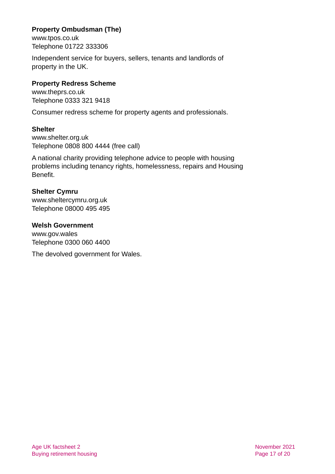#### **Property Ombudsman (The)**

[www.tpos.co.uk](http://www.tpos.co.uk/) Telephone 01722 333306

Independent service for buyers, sellers, tenants and landlords of property in the UK.

#### **Property Redress Scheme**

[www.theprs.co.uk](http://www.theprs.co.uk/) Telephone 0333 321 9418

Consumer redress scheme for property agents and professionals.

#### **Shelter**

[www.shelter.org.uk](http://www.shelter.org.uk/) Telephone 0808 800 4444 (free call)

A national charity providing telephone advice to people with housing problems including tenancy rights, homelessness, repairs and Housing Benefit.

#### **Shelter Cymru**

[www.sheltercymru.org.uk](http://www.sheltercymru.org.uk/) Telephone 08000 495 495

#### **Welsh Government**

[www.gov.wales](http://www.gov.wales/) Telephone 0300 060 4400

The devolved government for Wales.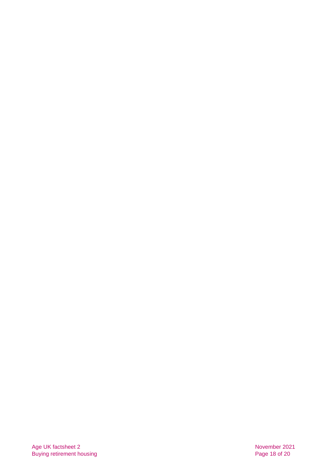Age UK factsheet Buying retirement housing Page 18 of 20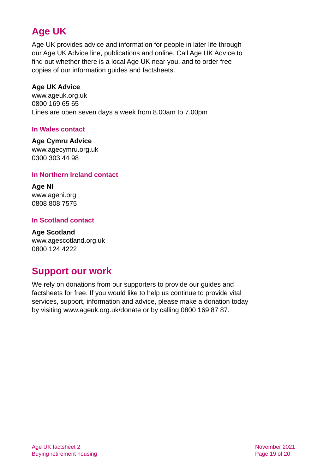# **Age UK**

Age UK provides advice and information for people in later life through our Age UK Advice line, publications and online. Call Age UK Advice to find out whether there is a local Age UK near you, and to order free copies of our information guides and factsheets.

#### <span id="page-18-2"></span>**Age UK Advice**

[www.ageuk.org.uk](http://www.ageuk.org.uk/) 0800 169 65 65 Lines are open seven days a week from 8.00am to 7.00pm

#### **In Wales contact**

#### **Age Cymru Advice**

[www.agecymru.org.uk](http://www.agecymru.org.uk/) 0300 303 44 98

#### <span id="page-18-1"></span>**In Northern Ireland contact**

**Age NI** [www.ageni.org](http://www.ageni.org/) 0808 808 7575

#### <span id="page-18-0"></span>**In Scotland contact**

<span id="page-18-3"></span>**Age Scotland** [www.agescotland.org.uk](http://www.agescotland.org.uk/) 0800 124 4222

### **Support our work**

We rely on donations from our supporters to provide our guides and factsheets for free. If you would like to help us continue to provide vital services, support, information and advice, please make a donation today by visiting [www.ageuk.org.uk/donate](http://www.ageuk.org.uk/donate) or by calling 0800 169 87 87.